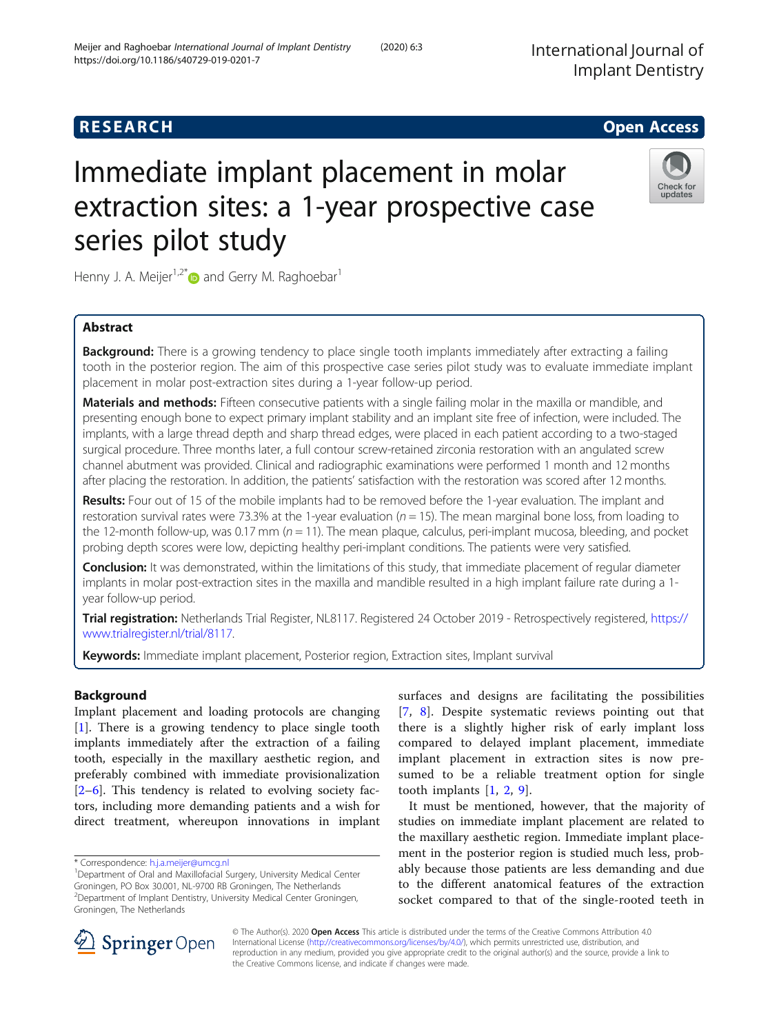# **RESEARCH CHILD CONTROL** CONTROL CONTROL CONTROL CONTROL CONTROL CONTROL CONTROL CONTROL CONTROL CONTROL CONTROL

# Immediate implant placement in molar extraction sites: a 1-year prospective case series pilot study



Henny J. A. Meijer<sup>1,2\*</sup> and Gerry M. Raghoebar<sup>1</sup>

# Abstract

**Background:** There is a growing tendency to place single tooth implants immediately after extracting a failing tooth in the posterior region. The aim of this prospective case series pilot study was to evaluate immediate implant placement in molar post-extraction sites during a 1-year follow-up period.

Materials and methods: Fifteen consecutive patients with a single failing molar in the maxilla or mandible, and presenting enough bone to expect primary implant stability and an implant site free of infection, were included. The implants, with a large thread depth and sharp thread edges, were placed in each patient according to a two-staged surgical procedure. Three months later, a full contour screw-retained zirconia restoration with an angulated screw channel abutment was provided. Clinical and radiographic examinations were performed 1 month and 12 months after placing the restoration. In addition, the patients' satisfaction with the restoration was scored after 12 months.

Results: Four out of 15 of the mobile implants had to be removed before the 1-year evaluation. The implant and restoration survival rates were 73.3% at the 1-year evaluation ( $n = 15$ ). The mean marginal bone loss, from loading to the 12-month follow-up, was 0.17 mm ( $n = 11$ ). The mean plaque, calculus, peri-implant mucosa, bleeding, and pocket probing depth scores were low, depicting healthy peri-implant conditions. The patients were very satisfied.

**Conclusion:** It was demonstrated, within the limitations of this study, that immediate placement of regular diameter implants in molar post-extraction sites in the maxilla and mandible resulted in a high implant failure rate during a 1 year follow-up period.

Trial registration: Netherlands Trial Register, NL8117. Registered 24 October 2019 - Retrospectively registered, [https://](https://www.trialregister.nl/trial/8117) [www.trialregister.nl/trial/8117.](https://www.trialregister.nl/trial/8117)

Keywords: Immediate implant placement, Posterior region, Extraction sites, Implant survival

# Background

Implant placement and loading protocols are changing [[1\]](#page-6-0). There is a growing tendency to place single tooth implants immediately after the extraction of a failing tooth, especially in the maxillary aesthetic region, and preferably combined with immediate provisionalization [[2](#page-6-0)–[6\]](#page-6-0). This tendency is related to evolving society factors, including more demanding patients and a wish for direct treatment, whereupon innovations in implant

surfaces and designs are facilitating the possibilities [[7](#page-6-0), [8](#page-6-0)]. Despite systematic reviews pointing out that there is a slightly higher risk of early implant loss compared to delayed implant placement, immediate implant placement in extraction sites is now presumed to be a reliable treatment option for single tooth implants [\[1](#page-6-0), [2](#page-6-0), [9](#page-6-0)].

It must be mentioned, however, that the majority of studies on immediate implant placement are related to the maxillary aesthetic region. Immediate implant placement in the posterior region is studied much less, probably because those patients are less demanding and due to the different anatomical features of the extraction socket compared to that of the single-rooted teeth in



© The Author(s). 2020 Open Access This article is distributed under the terms of the Creative Commons Attribution 4.0 International License ([http://creativecommons.org/licenses/by/4.0/\)](http://creativecommons.org/licenses/by/4.0/), which permits unrestricted use, distribution, and reproduction in any medium, provided you give appropriate credit to the original author(s) and the source, provide a link to the Creative Commons license, and indicate if changes were made.

<sup>\*</sup> Correspondence: [h.j.a.meijer@umcg.nl](mailto:h.j.a.meijer@umcg.nl) <sup>1</sup>

<sup>&</sup>lt;sup>1</sup>Department of Oral and Maxillofacial Surgery, University Medical Center Groningen, PO Box 30.001, NL-9700 RB Groningen, The Netherlands 2 Department of Implant Dentistry, University Medical Center Groningen, Groningen, The Netherlands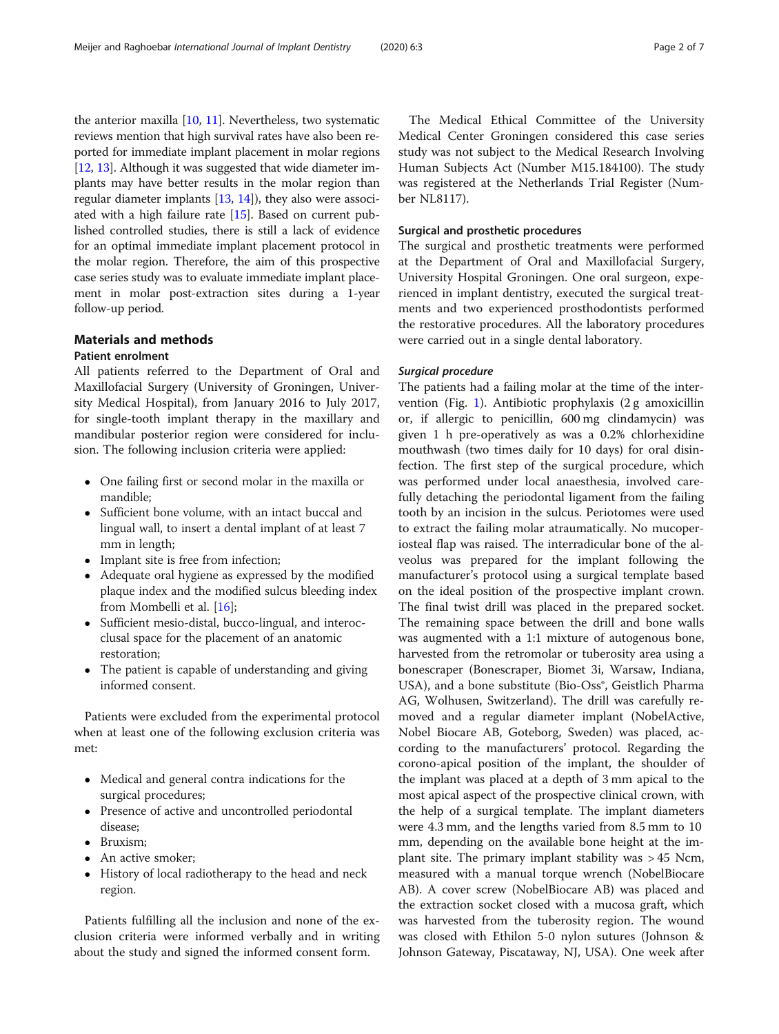the anterior maxilla [\[10,](#page-6-0) [11\]](#page-6-0). Nevertheless, two systematic reviews mention that high survival rates have also been reported for immediate implant placement in molar regions [[12](#page-6-0), [13\]](#page-6-0). Although it was suggested that wide diameter implants may have better results in the molar region than regular diameter implants [\[13,](#page-6-0) [14](#page-6-0)]), they also were associated with a high failure rate [[15\]](#page-6-0). Based on current published controlled studies, there is still a lack of evidence for an optimal immediate implant placement protocol in the molar region. Therefore, the aim of this prospective case series study was to evaluate immediate implant placement in molar post-extraction sites during a 1-year follow-up period.

# Materials and methods

# Patient enrolment

All patients referred to the Department of Oral and Maxillofacial Surgery (University of Groningen, University Medical Hospital), from January 2016 to July 2017, for single-tooth implant therapy in the maxillary and mandibular posterior region were considered for inclusion. The following inclusion criteria were applied:

- One failing first or second molar in the maxilla or mandible;
- Sufficient bone volume, with an intact buccal and lingual wall, to insert a dental implant of at least 7 mm in length;
- Implant site is free from infection;
- Adequate oral hygiene as expressed by the modified plaque index and the modified sulcus bleeding index from Mombelli et al. [\[16\]](#page-6-0);
- Sufficient mesio-distal, bucco-lingual, and interocclusal space for the placement of an anatomic restoration;
- The patient is capable of understanding and giving informed consent.

Patients were excluded from the experimental protocol when at least one of the following exclusion criteria was met:

- Medical and general contra indications for the surgical procedures;
- Presence of active and uncontrolled periodontal disease;
- Bruxism;
- An active smoker;
- History of local radiotherapy to the head and neck region.

Patients fulfilling all the inclusion and none of the exclusion criteria were informed verbally and in writing about the study and signed the informed consent form.

The Medical Ethical Committee of the University Medical Center Groningen considered this case series study was not subject to the Medical Research Involving Human Subjects Act (Number M15.184100). The study was registered at the Netherlands Trial Register (Number NL8117).

# Surgical and prosthetic procedures

The surgical and prosthetic treatments were performed at the Department of Oral and Maxillofacial Surgery, University Hospital Groningen. One oral surgeon, experienced in implant dentistry, executed the surgical treatments and two experienced prosthodontists performed the restorative procedures. All the laboratory procedures were carried out in a single dental laboratory.

# Surgical procedure

The patients had a failing molar at the time of the intervention (Fig. [1](#page-2-0)). Antibiotic prophylaxis (2 g amoxicillin or, if allergic to penicillin, 600 mg clindamycin) was given 1 h pre-operatively as was a 0.2% chlorhexidine mouthwash (two times daily for 10 days) for oral disinfection. The first step of the surgical procedure, which was performed under local anaesthesia, involved carefully detaching the periodontal ligament from the failing tooth by an incision in the sulcus. Periotomes were used to extract the failing molar atraumatically. No mucoperiosteal flap was raised. The interradicular bone of the alveolus was prepared for the implant following the manufacturer's protocol using a surgical template based on the ideal position of the prospective implant crown. The final twist drill was placed in the prepared socket. The remaining space between the drill and bone walls was augmented with a 1:1 mixture of autogenous bone, harvested from the retromolar or tuberosity area using a bonescraper (Bonescraper, Biomet 3i, Warsaw, Indiana, USA), and a bone substitute (Bio-Oss®, Geistlich Pharma AG, Wolhusen, Switzerland). The drill was carefully removed and a regular diameter implant (NobelActive, Nobel Biocare AB, Goteborg, Sweden) was placed, according to the manufacturers' protocol. Regarding the corono-apical position of the implant, the shoulder of the implant was placed at a depth of 3 mm apical to the most apical aspect of the prospective clinical crown, with the help of a surgical template. The implant diameters were 4.3 mm, and the lengths varied from 8.5 mm to 10 mm, depending on the available bone height at the implant site. The primary implant stability was > 45 Ncm, measured with a manual torque wrench (NobelBiocare AB). A cover screw (NobelBiocare AB) was placed and the extraction socket closed with a mucosa graft, which was harvested from the tuberosity region. The wound was closed with Ethilon 5-0 nylon sutures (Johnson & Johnson Gateway, Piscataway, NJ, USA). One week after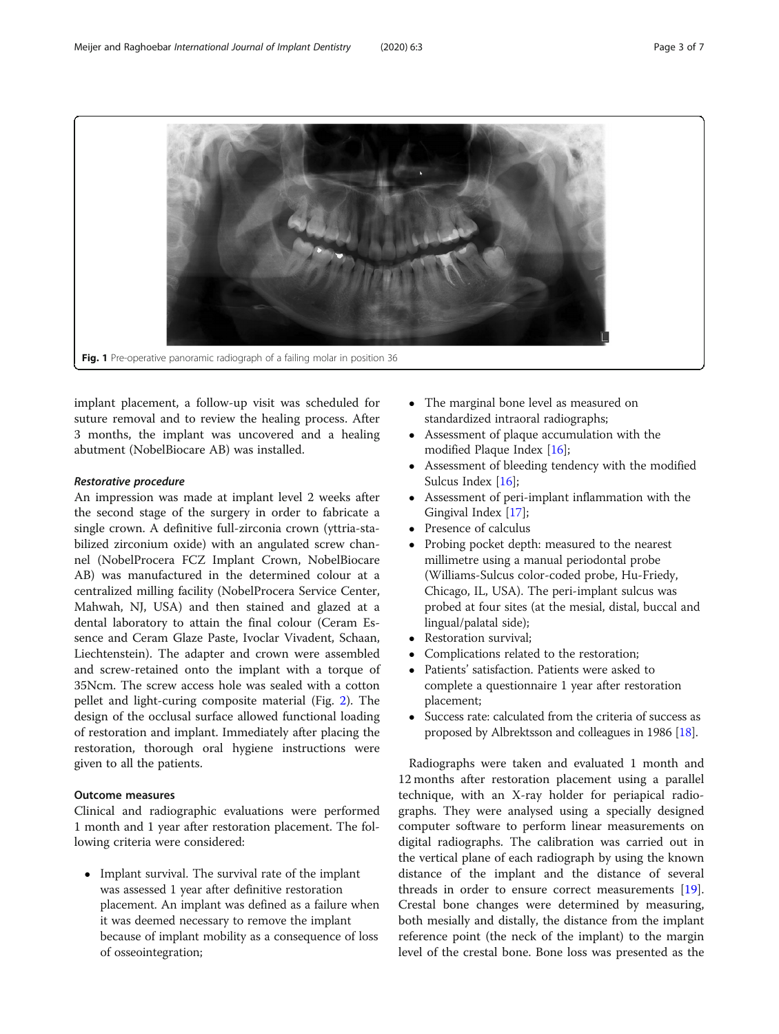<span id="page-2-0"></span>

implant placement, a follow-up visit was scheduled for suture removal and to review the healing process. After 3 months, the implant was uncovered and a healing abutment (NobelBiocare AB) was installed.

# Restorative procedure

An impression was made at implant level 2 weeks after the second stage of the surgery in order to fabricate a single crown. A definitive full-zirconia crown (yttria-stabilized zirconium oxide) with an angulated screw channel (NobelProcera FCZ Implant Crown, NobelBiocare AB) was manufactured in the determined colour at a centralized milling facility (NobelProcera Service Center, Mahwah, NJ, USA) and then stained and glazed at a dental laboratory to attain the final colour (Ceram Essence and Ceram Glaze Paste, Ivoclar Vivadent, Schaan, Liechtenstein). The adapter and crown were assembled and screw-retained onto the implant with a torque of 35Ncm. The screw access hole was sealed with a cotton pellet and light-curing composite material (Fig. [2\)](#page-3-0). The design of the occlusal surface allowed functional loading of restoration and implant. Immediately after placing the restoration, thorough oral hygiene instructions were given to all the patients.

# Outcome measures

Clinical and radiographic evaluations were performed 1 month and 1 year after restoration placement. The following criteria were considered:

• Implant survival. The survival rate of the implant was assessed 1 year after definitive restoration placement. An implant was defined as a failure when it was deemed necessary to remove the implant because of implant mobility as a consequence of loss of osseointegration;

- The marginal bone level as measured on standardized intraoral radiographs;
- Assessment of plaque accumulation with the modified Plaque Index [\[16\]](#page-6-0);
- Assessment of bleeding tendency with the modified Sulcus Index [\[16\]](#page-6-0);
- Assessment of peri-implant inflammation with the Gingival Index [[17](#page-6-0)];
- Presence of calculus<br>• Probing pocket dept
- Probing pocket depth: measured to the nearest millimetre using a manual periodontal probe (Williams-Sulcus color-coded probe, Hu-Friedy, Chicago, IL, USA). The peri-implant sulcus was probed at four sites (at the mesial, distal, buccal and lingual/palatal side);
- Restoration survival;<br>• Complications relate
- Complications related to the restoration;<br>• Patients' satisfaction, Patients were asked
- Patients' satisfaction. Patients were asked to complete a questionnaire 1 year after restoration placement;
- Success rate: calculated from the criteria of success as proposed by Albrektsson and colleagues in 1986 [\[18\]](#page-6-0).

Radiographs were taken and evaluated 1 month and 12 months after restoration placement using a parallel technique, with an X-ray holder for periapical radiographs. They were analysed using a specially designed computer software to perform linear measurements on digital radiographs. The calibration was carried out in the vertical plane of each radiograph by using the known distance of the implant and the distance of several threads in order to ensure correct measurements [\[19](#page-6-0)]. Crestal bone changes were determined by measuring, both mesially and distally, the distance from the implant reference point (the neck of the implant) to the margin level of the crestal bone. Bone loss was presented as the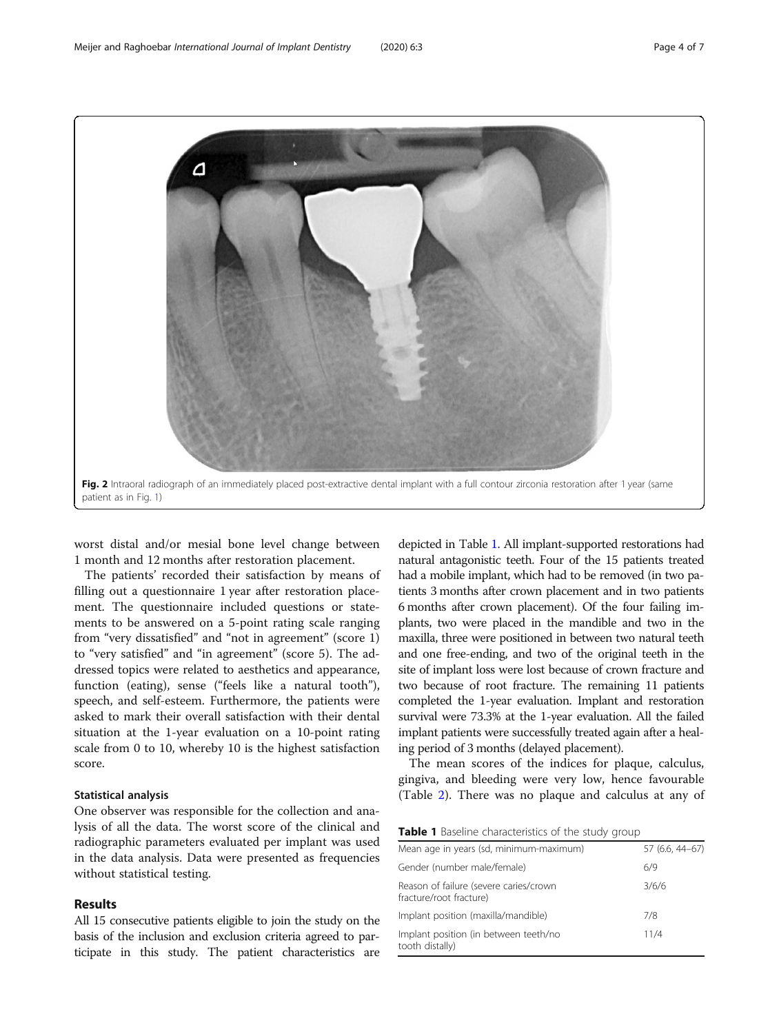<span id="page-3-0"></span>

worst distal and/or mesial bone level change between 1 month and 12 months after restoration placement.

The patients' recorded their satisfaction by means of filling out a questionnaire 1 year after restoration placement. The questionnaire included questions or statements to be answered on a 5-point rating scale ranging from "very dissatisfied" and "not in agreement" (score 1) to "very satisfied" and "in agreement" (score 5). The addressed topics were related to aesthetics and appearance, function (eating), sense ("feels like a natural tooth"), speech, and self-esteem. Furthermore, the patients were asked to mark their overall satisfaction with their dental situation at the 1-year evaluation on a 10-point rating scale from 0 to 10, whereby 10 is the highest satisfaction score.

### Statistical analysis

One observer was responsible for the collection and analysis of all the data. The worst score of the clinical and radiographic parameters evaluated per implant was used in the data analysis. Data were presented as frequencies without statistical testing.

# Results

All 15 consecutive patients eligible to join the study on the basis of the inclusion and exclusion criteria agreed to participate in this study. The patient characteristics are

depicted in Table 1. All implant-supported restorations had natural antagonistic teeth. Four of the 15 patients treated had a mobile implant, which had to be removed (in two patients 3 months after crown placement and in two patients 6 months after crown placement). Of the four failing implants, two were placed in the mandible and two in the maxilla, three were positioned in between two natural teeth and one free-ending, and two of the original teeth in the site of implant loss were lost because of crown fracture and two because of root fracture. The remaining 11 patients completed the 1-year evaluation. Implant and restoration survival were 73.3% at the 1-year evaluation. All the failed implant patients were successfully treated again after a healing period of 3 months (delayed placement).

The mean scores of the indices for plaque, calculus, gingiva, and bleeding were very low, hence favourable (Table [2](#page-4-0)). There was no plaque and calculus at any of

Table 1 Baseline characteristics of the study group

| Mean age in years (sd, minimum-maximum)                           | 57 (6.6, 44-67) |
|-------------------------------------------------------------------|-----------------|
| Gender (number male/female)                                       | 6/9             |
| Reason of failure (severe caries/crown<br>fracture/root fracture) | 3/6/6           |
| Implant position (maxilla/mandible)                               | 7/8             |
| Implant position (in between teeth/no<br>tooth distally)          | 11/4            |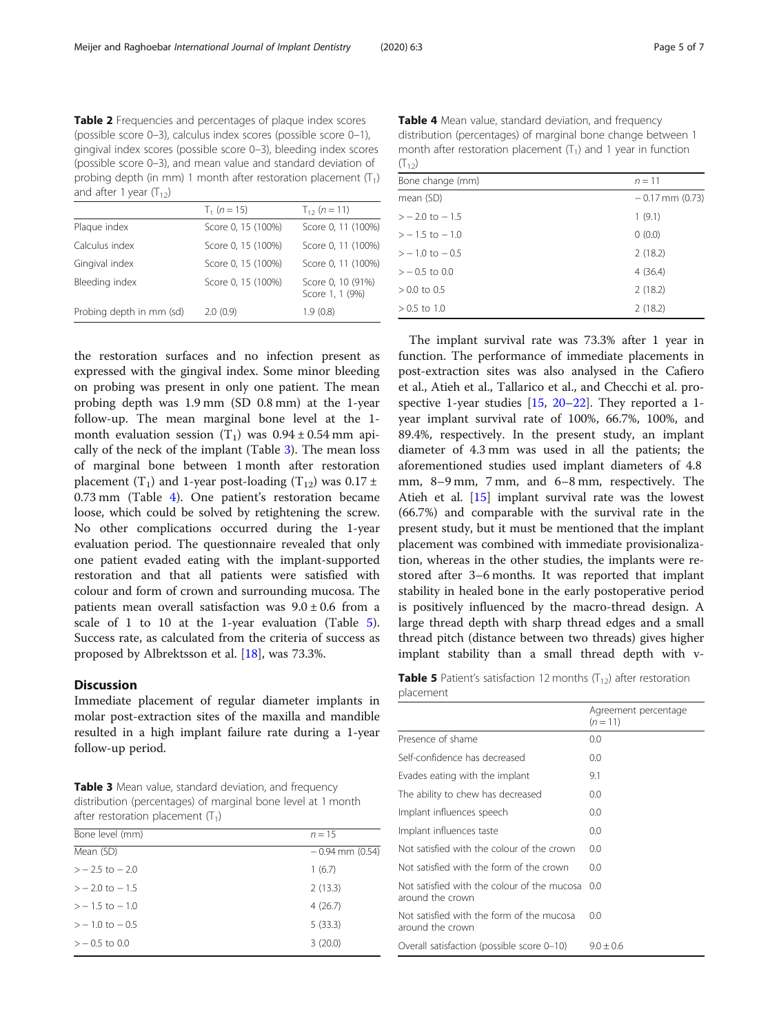<span id="page-4-0"></span>Table 2 Frequencies and percentages of plaque index scores (possible score 0–3), calculus index scores (possible score 0–1), gingival index scores (possible score 0–3), bleeding index scores (possible score 0–3), and mean value and standard deviation of probing depth (in mm) 1 month after restoration placement  $(T_1)$ and after 1 year  $(T_{12})$ 

|                          | $T_1$ (n = 15)     | $T_{12}$ (n = 11)                    |
|--------------------------|--------------------|--------------------------------------|
| Plaque index             | Score 0, 15 (100%) | Score 0, 11 (100%)                   |
| Calculus index           | Score 0, 15 (100%) | Score 0, 11 (100%)                   |
| Gingival index           | Score 0, 15 (100%) | Score 0, 11 (100%)                   |
| Bleeding index           | Score 0, 15 (100%) | Score 0, 10 (91%)<br>Score 1, 1 (9%) |
| Probing depth in mm (sd) | 2.0(0.9)           | 1.9(0.8)                             |

the restoration surfaces and no infection present as expressed with the gingival index. Some minor bleeding on probing was present in only one patient. The mean probing depth was 1.9 mm (SD 0.8 mm) at the 1-year follow-up. The mean marginal bone level at the 1 month evaluation session  $(T_1)$  was  $0.94 \pm 0.54$  mm apically of the neck of the implant (Table 3). The mean loss of marginal bone between 1 month after restoration placement (T<sub>1</sub>) and 1-year post-loading (T<sub>12</sub>) was  $0.17 \pm 10^{-10}$ 0.73 mm (Table 4). One patient's restoration became loose, which could be solved by retightening the screw. No other complications occurred during the 1-year evaluation period. The questionnaire revealed that only one patient evaded eating with the implant-supported restoration and that all patients were satisfied with colour and form of crown and surrounding mucosa. The patients mean overall satisfaction was  $9.0 \pm 0.6$  from a scale of 1 to 10 at the 1-year evaluation (Table 5). Success rate, as calculated from the criteria of success as proposed by Albrektsson et al. [\[18](#page-6-0)], was 73.3%.

# **Discussion**

Immediate placement of regular diameter implants in molar post-extraction sites of the maxilla and mandible resulted in a high implant failure rate during a 1-year follow-up period.

Table 3 Mean value, standard deviation, and frequency distribution (percentages) of marginal bone level at 1 month after restoration placement  $(T_1)$ 

| Bone level (mm)    | $n = 15$            |
|--------------------|---------------------|
| Mean (SD)          | $-0.94$ mm $(0.54)$ |
| $> -2.5$ to $-2.0$ | 1(6.7)              |
| $> -2.0$ to $-1.5$ | 2(13.3)             |
| $> -1.5$ to $-1.0$ | 4(26.7)             |
| $> -1.0$ to $-0.5$ | 5(33.3)             |
| $> -0.5$ to 0.0    | 3(20.0)             |

Table 4 Mean value, standard deviation, and frequency distribution (percentages) of marginal bone change between 1 month after restoration placement  $(T_1)$  and 1 year in function  $(T_{12})$ 

| $\sim$ 12          |                     |  |
|--------------------|---------------------|--|
| Bone change (mm)   | $n = 11$            |  |
| mean (SD)          | $-0.17$ mm $(0.73)$ |  |
| $> -2.0$ to $-1.5$ | 1(9.1)              |  |
| $> -1.5$ to $-1.0$ | 0(0.0)              |  |
| $> -1.0$ to $-0.5$ | 2(18.2)             |  |
| $>$ $-$ 0.5 to 0.0 | 4(36.4)             |  |
| $> 0.0$ to 0.5     | 2(18.2)             |  |
| $> 0.5$ to 1.0     | 2(18.2)             |  |

The implant survival rate was 73.3% after 1 year in function. The performance of immediate placements in post-extraction sites was also analysed in the Cafiero et al., Atieh et al., Tallarico et al., and Checchi et al. prospective 1-year studies  $[15, 20-22]$  $[15, 20-22]$  $[15, 20-22]$  $[15, 20-22]$  $[15, 20-22]$  $[15, 20-22]$ . They reported a 1year implant survival rate of 100%, 66.7%, 100%, and 89.4%, respectively. In the present study, an implant diameter of 4.3 mm was used in all the patients; the aforementioned studies used implant diameters of 4.8 mm, 8–9 mm, 7 mm, and 6–8 mm, respectively. The Atieh et al. [\[15](#page-6-0)] implant survival rate was the lowest (66.7%) and comparable with the survival rate in the present study, but it must be mentioned that the implant placement was combined with immediate provisionalization, whereas in the other studies, the implants were restored after 3–6 months. It was reported that implant stability in healed bone in the early postoperative period is positively influenced by the macro-thread design. A large thread depth with sharp thread edges and a small thread pitch (distance between two threads) gives higher implant stability than a small thread depth with v-

**Table 5** Patient's satisfaction 12 months  $(T_{12})$  after restoration placement

|                                                                 | Agreement percentage<br>$(n = 11)$ |
|-----------------------------------------------------------------|------------------------------------|
| Presence of shame                                               | 0.0                                |
| Self-confidence has decreased                                   | 0.0                                |
| Evades eating with the implant                                  | 9.1                                |
| The ability to chew has decreased                               | 0.0                                |
| Implant influences speech                                       | 0.0                                |
| Implant influences taste                                        | 0.0                                |
| Not satisfied with the colour of the crown                      | 0.0                                |
| Not satisfied with the form of the crown                        | 0.0                                |
| Not satisfied with the colour of the mucosa<br>around the crown | 0.0                                |
| Not satisfied with the form of the mucosa<br>around the crown   | 0.0                                |
| Overall satisfaction (possible score 0-10)                      | $9.0 \pm 0.6$                      |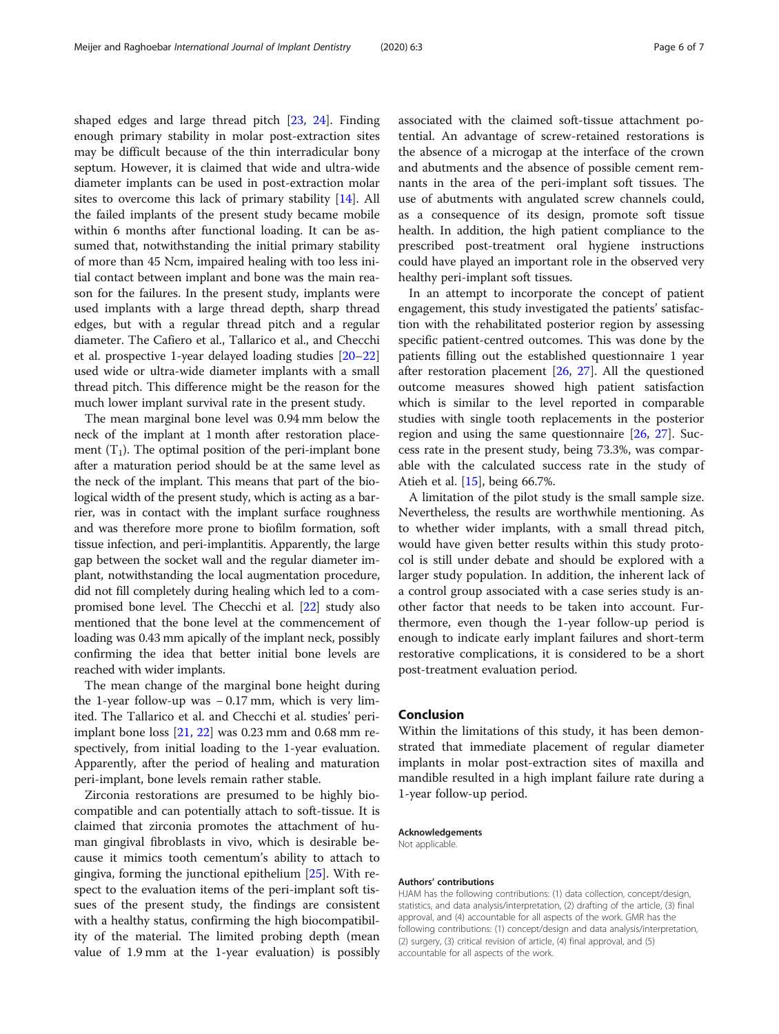shaped edges and large thread pitch [\[23](#page-6-0), [24](#page-6-0)]. Finding enough primary stability in molar post-extraction sites may be difficult because of the thin interradicular bony septum. However, it is claimed that wide and ultra-wide diameter implants can be used in post-extraction molar sites to overcome this lack of primary stability [\[14](#page-6-0)]. All the failed implants of the present study became mobile within 6 months after functional loading. It can be assumed that, notwithstanding the initial primary stability of more than 45 Ncm, impaired healing with too less initial contact between implant and bone was the main reason for the failures. In the present study, implants were used implants with a large thread depth, sharp thread edges, but with a regular thread pitch and a regular diameter. The Cafiero et al., Tallarico et al., and Checchi et al. prospective 1-year delayed loading studies [[20](#page-6-0)–[22](#page-6-0)] used wide or ultra-wide diameter implants with a small thread pitch. This difference might be the reason for the much lower implant survival rate in the present study.

The mean marginal bone level was 0.94 mm below the neck of the implant at 1 month after restoration placement  $(T_1)$ . The optimal position of the peri-implant bone after a maturation period should be at the same level as the neck of the implant. This means that part of the biological width of the present study, which is acting as a barrier, was in contact with the implant surface roughness and was therefore more prone to biofilm formation, soft tissue infection, and peri-implantitis. Apparently, the large gap between the socket wall and the regular diameter implant, notwithstanding the local augmentation procedure, did not fill completely during healing which led to a compromised bone level. The Checchi et al. [\[22\]](#page-6-0) study also mentioned that the bone level at the commencement of loading was 0.43 mm apically of the implant neck, possibly confirming the idea that better initial bone levels are reached with wider implants.

The mean change of the marginal bone height during the 1-year follow-up was  $-0.17$  mm, which is very limited. The Tallarico et al. and Checchi et al. studies' periimplant bone loss [[21](#page-6-0), [22](#page-6-0)] was 0.23 mm and 0.68 mm respectively, from initial loading to the 1-year evaluation. Apparently, after the period of healing and maturation peri-implant, bone levels remain rather stable.

Zirconia restorations are presumed to be highly biocompatible and can potentially attach to soft-tissue. It is claimed that zirconia promotes the attachment of human gingival fibroblasts in vivo, which is desirable because it mimics tooth cementum's ability to attach to gingiva, forming the junctional epithelium [\[25](#page-6-0)]. With respect to the evaluation items of the peri-implant soft tissues of the present study, the findings are consistent with a healthy status, confirming the high biocompatibility of the material. The limited probing depth (mean value of 1.9 mm at the 1-year evaluation) is possibly associated with the claimed soft-tissue attachment potential. An advantage of screw-retained restorations is the absence of a microgap at the interface of the crown and abutments and the absence of possible cement remnants in the area of the peri-implant soft tissues. The use of abutments with angulated screw channels could, as a consequence of its design, promote soft tissue health. In addition, the high patient compliance to the prescribed post-treatment oral hygiene instructions could have played an important role in the observed very healthy peri-implant soft tissues.

In an attempt to incorporate the concept of patient engagement, this study investigated the patients' satisfaction with the rehabilitated posterior region by assessing specific patient-centred outcomes. This was done by the patients filling out the established questionnaire 1 year after restoration placement [\[26](#page-6-0), [27](#page-6-0)]. All the questioned outcome measures showed high patient satisfaction which is similar to the level reported in comparable studies with single tooth replacements in the posterior region and using the same questionnaire [[26,](#page-6-0) [27\]](#page-6-0). Success rate in the present study, being 73.3%, was comparable with the calculated success rate in the study of Atieh et al. [[15\]](#page-6-0), being 66.7%.

A limitation of the pilot study is the small sample size. Nevertheless, the results are worthwhile mentioning. As to whether wider implants, with a small thread pitch, would have given better results within this study protocol is still under debate and should be explored with a larger study population. In addition, the inherent lack of a control group associated with a case series study is another factor that needs to be taken into account. Furthermore, even though the 1-year follow-up period is enough to indicate early implant failures and short-term restorative complications, it is considered to be a short post-treatment evaluation period.

# Conclusion

Within the limitations of this study, it has been demonstrated that immediate placement of regular diameter implants in molar post-extraction sites of maxilla and mandible resulted in a high implant failure rate during a 1-year follow-up period.

#### Acknowledgements

Not applicable.

#### Authors' contributions

HJAM has the following contributions: (1) data collection, concept/design, statistics, and data analysis/interpretation, (2) drafting of the article, (3) final approval, and (4) accountable for all aspects of the work. GMR has the following contributions: (1) concept/design and data analysis/interpretation, (2) surgery, (3) critical revision of article, (4) final approval, and (5) accountable for all aspects of the work.